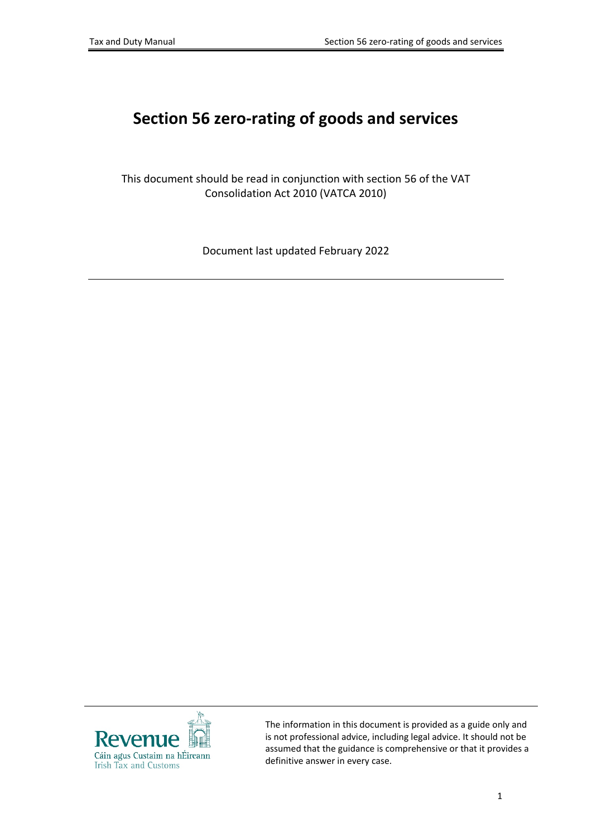# **Section 56 zero-rating of goods and services**

This document should be read in conjunction with section 56 of the VAT Consolidation Act 2010 (VATCA 2010)

Document last updated February 2022



The information in this document is provided as a guide only and is not professional advice, including legal advice. It should not be assumed that the guidance is comprehensive or that it provides a definitive answer in every case.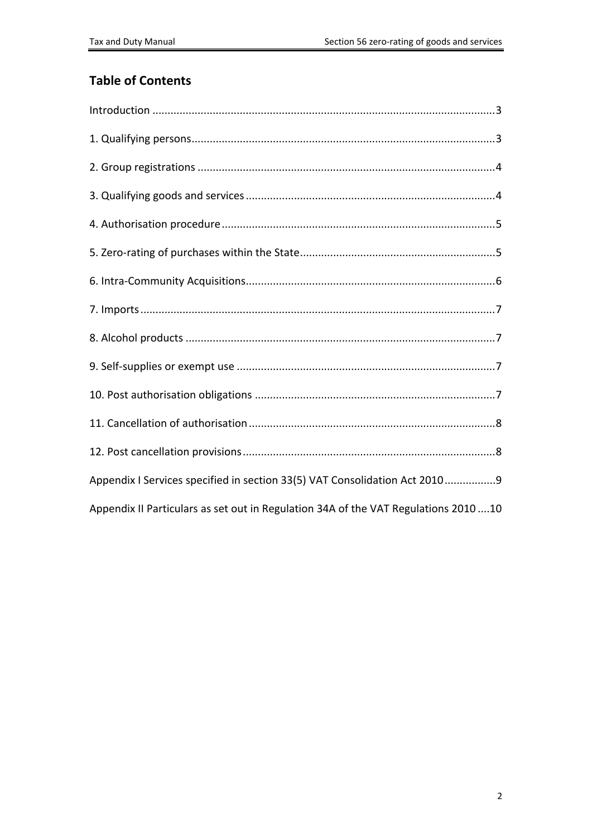#### **Table of Contents**

| Appendix I Services specified in section 33(5) VAT Consolidation Act 20109           |
|--------------------------------------------------------------------------------------|
| Appendix II Particulars as set out in Regulation 34A of the VAT Regulations 2010  10 |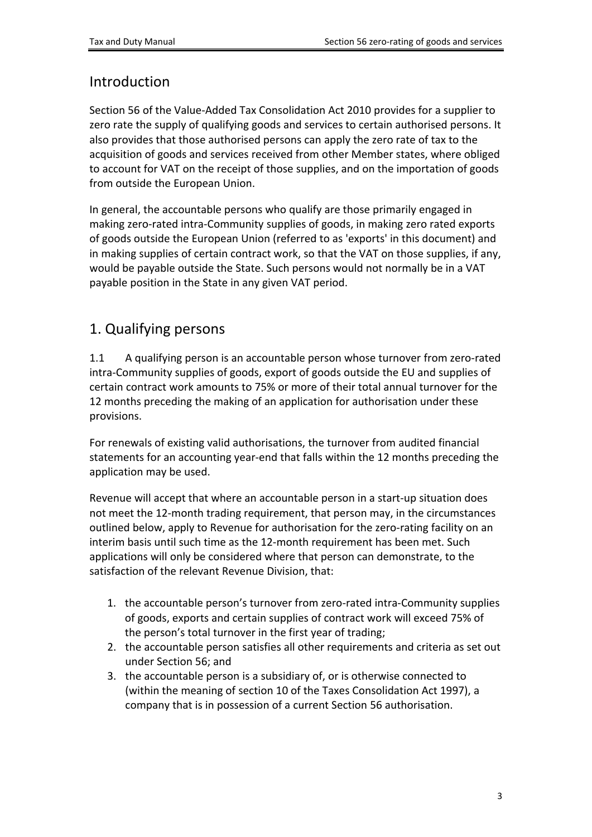#### <span id="page-2-0"></span>**Introduction**

Section 56 of the Value-Added Tax Consolidation Act 2010 provides for a supplier to zero rate the supply of qualifying goods and services to certain authorised persons. It also provides that those authorised persons can apply the zero rate of tax to the acquisition of goods and services received from other Member states, where obliged to account for VAT on the receipt of those supplies, and on the importation of goods from outside the European Union.

In general, the accountable persons who qualify are those primarily engaged in making zero-rated intra-Community supplies of goods, in making zero rated exports of goods outside the European Union (referred to as 'exports' in this document) and in making supplies of certain contract work, so that the VAT on those supplies, if any, would be payable outside the State. Such persons would not normally be in a VAT payable position in the State in any given VAT period.

### <span id="page-2-1"></span>1. Qualifying persons

1.1 A qualifying person is an accountable person whose turnover from zero-rated intra-Community supplies of goods, export of goods outside the EU and supplies of certain contract work amounts to 75% or more of their total annual turnover for the 12 months preceding the making of an application for authorisation under these provisions.

For renewals of existing valid authorisations, the turnover from audited financial statements for an accounting year-end that falls within the 12 months preceding the application may be used.

Revenue will accept that where an accountable person in a start-up situation does not meet the 12-month trading requirement, that person may, in the circumstances outlined below, apply to Revenue for authorisation for the zero-rating facility on an interim basis until such time as the 12-month requirement has been met. Such applications will only be considered where that person can demonstrate, to the satisfaction of the relevant Revenue Division, that:

- 1. the accountable person's turnover from zero-rated intra-Community supplies of goods, exports and certain supplies of contract work will exceed 75% of the person's total turnover in the first year of trading;
- 2. the accountable person satisfies all other requirements and criteria as set out under Section 56; and
- 3. the accountable person is a subsidiary of, or is otherwise connected to (within the meaning of section 10 of the Taxes Consolidation Act 1997), a company that is in possession of a current Section 56 authorisation.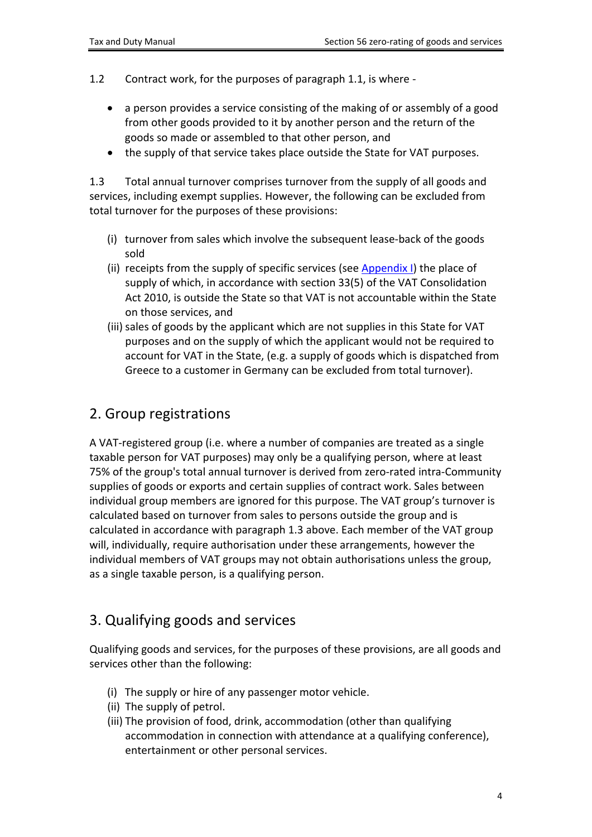- 1.2 Contract work, for the purposes of paragraph 1.1, is where
	- a person provides a service consisting of the making of or assembly of a good from other goods provided to it by another person and the return of the goods so made or assembled to that other person, and
	- the supply of that service takes place outside the State for VAT purposes.

1.3 Total annual turnover comprises turnover from the supply of all goods and services, including exempt supplies. However, the following can be excluded from total turnover for the purposes of these provisions:

- (i) turnover from sales which involve the subsequent lease-back of the goods sold
- (ii) receipts from the supply of specific services (see [Appendix](#page-8-0) [I\)](#page-8-0) the place of supply of which, in accordance with section 33(5) of the VAT Consolidation Act 2010, is outside the State so that VAT is not accountable within the State on those services, and
- (iii) sales of goods by the applicant which are not supplies in this State for VAT purposes and on the supply of which the applicant would not be required to account for VAT in the State, (e.g. a supply of goods which is dispatched from Greece to a customer in Germany can be excluded from total turnover).

#### <span id="page-3-0"></span>2. Group registrations

A VAT-registered group (i.e. where a number of companies are treated as a single taxable person for VAT purposes) may only be a qualifying person, where at least 75% of the group's total annual turnover is derived from zero-rated intra-Community supplies of goods or exports and certain supplies of contract work. Sales between individual group members are ignored for this purpose. The VAT group's turnover is calculated based on turnover from sales to persons outside the group and is calculated in accordance with paragraph 1.3 above. Each member of the VAT group will, individually, require authorisation under these arrangements, however the individual members of VAT groups may not obtain authorisations unless the group, as a single taxable person, is a qualifying person.

# <span id="page-3-1"></span>3. Qualifying goods and services

Qualifying goods and services, for the purposes of these provisions, are all goods and services other than the following:

- (i) The supply or hire of any passenger motor vehicle.
- (ii) The supply of petrol.
- (iii) The provision of food, drink, accommodation (other than qualifying accommodation in connection with attendance at a qualifying conference), entertainment or other personal services.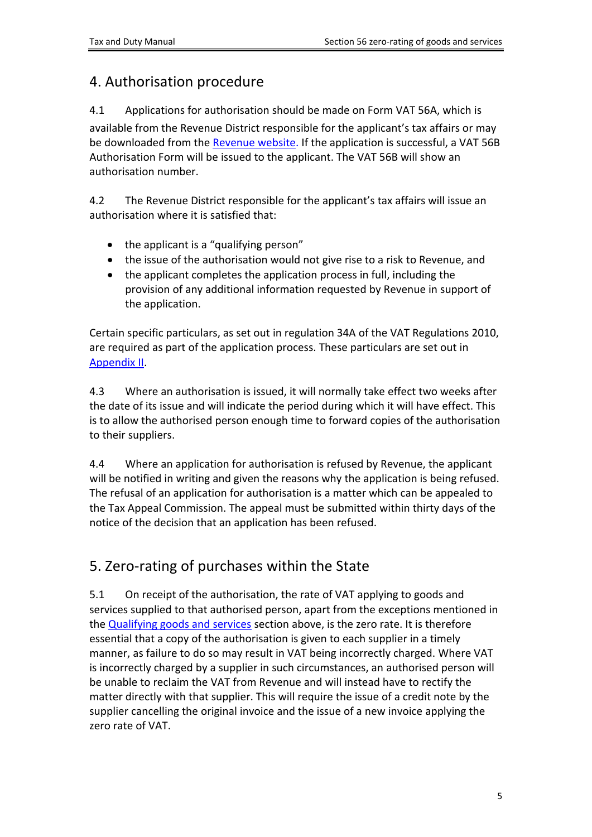#### <span id="page-4-0"></span>4. Authorisation procedure

4.1 Applications for authorisation should be made on Form VAT 56A, which is

available from the Revenue District responsible for the applicant's tax affairs or may be downloaded from the [Revenue](https://www.revenue.ie/en/vat/documents/form-vat56a.pdf) [website.](https://www.revenue.ie/en/vat/documents/form-vat56a.pdf) If the application is successful, a VAT 56B Authorisation Form will be issued to the applicant. The VAT 56B will show an authorisation number.

4.2 The Revenue District responsible for the applicant's tax affairs will issue an authorisation where it is satisfied that:

- the applicant is a "qualifying person"
- the issue of the authorisation would not give rise to a risk to Revenue, and
- the applicant completes the application process in full, including the provision of any additional information requested by Revenue in support of the application.

Certain specific particulars, as set out in regulation 34A of the VAT Regulations 2010, are required as part of the application process. These particulars are set out in [Appendix](#page-9-0) [II.](#page-9-0)

4.3 Where an authorisation is issued, it will normally take effect two weeks after the date of its issue and will indicate the period during which it will have effect. This is to allow the authorised person enough time to forward copies of the authorisation to their suppliers.

4.4 Where an application for authorisation is refused by Revenue, the applicant will be notified in writing and given the reasons why the application is being refused. The refusal of an application for authorisation is a matter which can be appealed to the Tax Appeal Commission. The appeal must be submitted within thirty days of the notice of the decision that an application has been refused.

# <span id="page-4-1"></span>5. Zero-rating of purchases within the State

5.1 On receipt of the authorisation, the rate of VAT applying to goods and services supplied to that authorised person, apart from the exceptions mentioned in the [Qualifying](#page-3-1) [goods](#page-3-1) [and](#page-3-1) [services](#page-3-1) section above, is the zero rate. It is therefore essential that a copy of the authorisation is given to each supplier in a timely manner, as failure to do so may result in VAT being incorrectly charged. Where VAT is incorrectly charged by a supplier in such circumstances, an authorised person will be unable to reclaim the VAT from Revenue and will instead have to rectify the matter directly with that supplier. This will require the issue of a credit note by the supplier cancelling the original invoice and the issue of a new invoice applying the zero rate of VAT.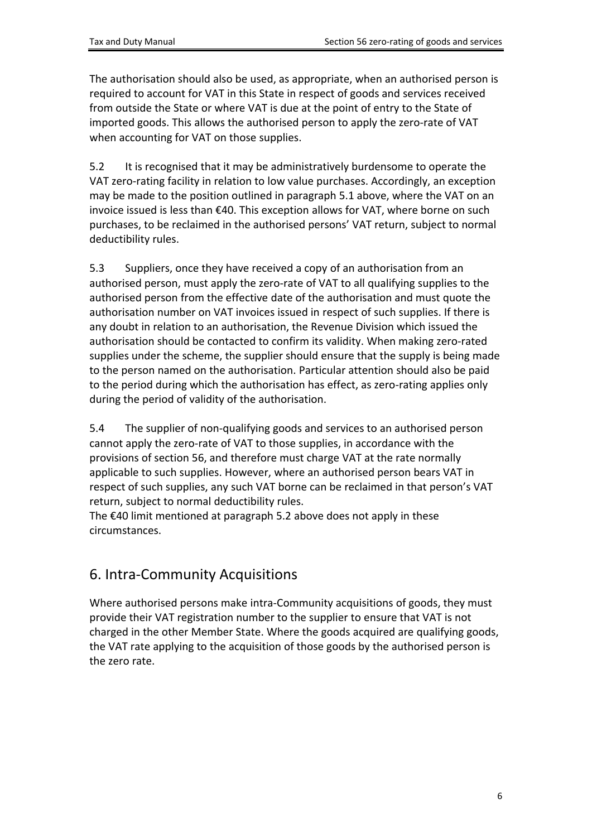The authorisation should also be used, as appropriate, when an authorised person is required to account for VAT in this State in respect of goods and services received from outside the State or where VAT is due at the point of entry to the State of imported goods. This allows the authorised person to apply the zero-rate of VAT when accounting for VAT on those supplies.

5.2 It is recognised that it may be administratively burdensome to operate the VAT zero-rating facility in relation to low value purchases. Accordingly, an exception may be made to the position outlined in paragraph 5.1 above, where the VAT on an invoice issued is less than €40. This exception allows for VAT, where borne on such purchases, to be reclaimed in the authorised persons' VAT return, subject to normal deductibility rules.

5.3 Suppliers, once they have received a copy of an authorisation from an authorised person, must apply the zero-rate of VAT to all qualifying supplies to the authorised person from the effective date of the authorisation and must quote the authorisation number on VAT invoices issued in respect of such supplies. If there is any doubt in relation to an authorisation, the Revenue Division which issued the authorisation should be contacted to confirm its validity. When making zero-rated supplies under the scheme, the supplier should ensure that the supply is being made to the person named on the authorisation. Particular attention should also be paid to the period during which the authorisation has effect, as zero-rating applies only during the period of validity of the authorisation.

5.4 The supplier of non-qualifying goods and services to an authorised person cannot apply the zero-rate of VAT to those supplies, in accordance with the provisions of section 56, and therefore must charge VAT at the rate normally applicable to such supplies. However, where an authorised person bears VAT in respect of such supplies, any such VAT borne can be reclaimed in that person's VAT return, subject to normal deductibility rules.

The €40 limit mentioned at paragraph 5.2 above does not apply in these circumstances.

# <span id="page-5-0"></span>6. Intra-Community Acquisitions

Where authorised persons make intra-Community acquisitions of goods, they must provide their VAT registration number to the supplier to ensure that VAT is not charged in the other Member State. Where the goods acquired are qualifying goods, the VAT rate applying to the acquisition of those goods by the authorised person is the zero rate.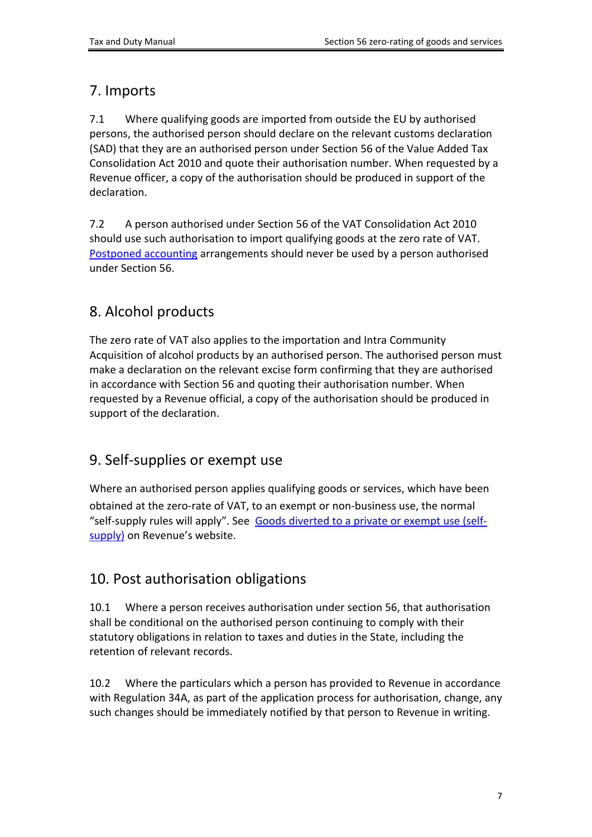### <span id="page-6-0"></span>7. Imports

7.1 Where qualifying goods are imported from outside the EU by authorised persons, the authorised person should declare on the relevant customs declaration (SAD) that they are an authorised person under Section 56 of the Value Added Tax Consolidation Act 2010 and quote their authorisation number. When requested by a Revenue officer, a copy of the authorisation should be produced in support of the declaration.

7.2 A person authorised under Section 56 of the VAT Consolidation Act 2010 should use such authorisation to import qualifying goods at the zero rate of VAT. [Postponed](https://www.revenue.ie/en/vat/goods-and-services-to-and-from-abroad/zero-rating-of-goods-and-services/index.aspx) [accounting](https://www.revenue.ie/en/vat/goods-and-services-to-and-from-abroad/zero-rating-of-goods-and-services/index.aspx) arrangements should never be used by a person authorised under Section 56.

# <span id="page-6-1"></span>8. Alcohol products

The zero rate of VAT also applies to the importation and Intra Community Acquisition of alcohol products by an authorised person. The authorised person must make a declaration on the relevant excise form confirming that they are authorised in accordance with Section 56 and quoting their authorisation number. When requested by a Revenue official, a copy of the authorisation should be produced in support of the declaration.

### <span id="page-6-2"></span>9. Self-supplies or exempt use

Where an authorised person applies qualifying goods or services, which have been obtained at the zero-rate of VAT, to an exempt or non-business use, the normal "self-supply rules will apply". See [Goods](https://www.revenue.ie/en/vat/vat-on-goods/when-is-vat-charged-on-goods/divert-goods-private-exempt-use-self-supply.aspx) [diverted](https://www.revenue.ie/en/vat/vat-on-goods/when-is-vat-charged-on-goods/divert-goods-private-exempt-use-self-supply.aspx) [to](https://www.revenue.ie/en/vat/vat-on-goods/when-is-vat-charged-on-goods/divert-goods-private-exempt-use-self-supply.aspx) [a](https://www.revenue.ie/en/vat/vat-on-goods/when-is-vat-charged-on-goods/divert-goods-private-exempt-use-self-supply.aspx) [private](https://www.revenue.ie/en/vat/vat-on-goods/when-is-vat-charged-on-goods/divert-goods-private-exempt-use-self-supply.aspx) [or](https://www.revenue.ie/en/vat/vat-on-goods/when-is-vat-charged-on-goods/divert-goods-private-exempt-use-self-supply.aspx) [exempt](https://www.revenue.ie/en/vat/vat-on-goods/when-is-vat-charged-on-goods/divert-goods-private-exempt-use-self-supply.aspx) [use](https://www.revenue.ie/en/vat/vat-on-goods/when-is-vat-charged-on-goods/divert-goods-private-exempt-use-self-supply.aspx) [\(self](https://www.revenue.ie/en/vat/vat-on-goods/when-is-vat-charged-on-goods/divert-goods-private-exempt-use-self-supply.aspx)[supply\)](https://www.revenue.ie/en/vat/vat-on-goods/when-is-vat-charged-on-goods/divert-goods-private-exempt-use-self-supply.aspx) on Revenue's website.

# <span id="page-6-3"></span>10. Post authorisation obligations

10.1 Where a person receives authorisation under section 56, that authorisation shall be conditional on the authorised person continuing to comply with their statutory obligations in relation to taxes and duties in the State, including the retention of relevant records.

10.2 Where the particulars which a person has provided to Revenue in accordance with Regulation 34A, as part of the application process for authorisation, change, any such changes should be immediately notified by that person to Revenue in writing.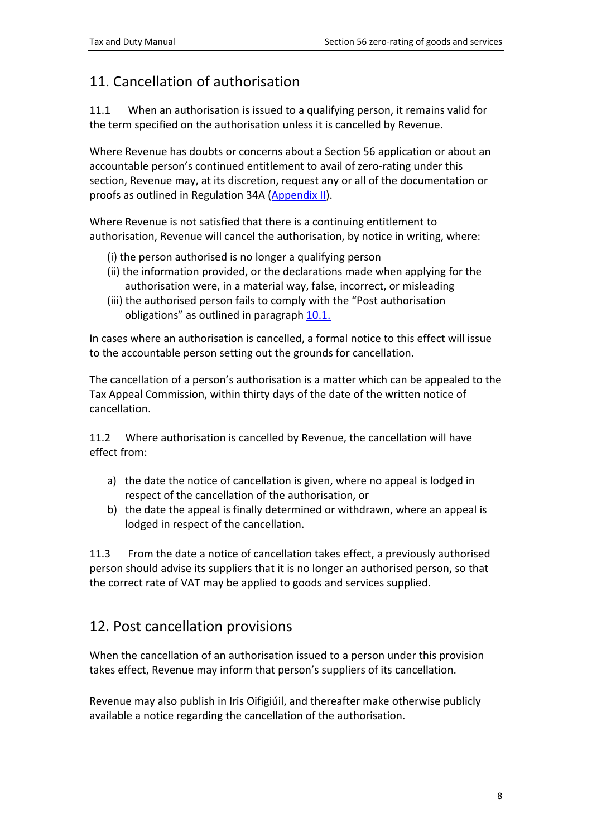### <span id="page-7-0"></span>11. Cancellation of authorisation

11.1 When an authorisation is issued to a qualifying person, it remains valid for the term specified on the authorisation unless it is cancelled by Revenue.

Where Revenue has doubts or concerns about a Section 56 application or about an accountable person's continued entitlement to avail of zero-rating under this section, Revenue may, at its discretion, request any or all of the documentation or proofs as outlined in Regulation 34A [\(Appendix](#page-9-0) [II\)](#page-9-0).

Where Revenue is not satisfied that there is a continuing entitlement to authorisation, Revenue will cancel the authorisation, by notice in writing, where:

- (i) the person authorised is no longer a qualifying person
- (ii) the information provided, or the declarations made when applying for the authorisation were, in a material way, false, incorrect, or misleading
- (iii) the authorised person fails to comply with the "Post authorisation obligations" as outlined in paragraph [10.1.](#page-6-3)

In cases where an authorisation is cancelled, a formal notice to this effect will issue to the accountable person setting out the grounds for cancellation.

The cancellation of a person's authorisation is a matter which can be appealed to the Tax Appeal Commission, within thirty days of the date of the written notice of cancellation.

11.2 Where authorisation is cancelled by Revenue, the cancellation will have effect from:

- a) the date the notice of cancellation is given, where no appeal is lodged in respect of the cancellation of the authorisation, or
- b) the date the appeal is finally determined or withdrawn, where an appeal is lodged in respect of the cancellation.

11.3 From the date a notice of cancellation takes effect, a previously authorised person should advise its suppliers that it is no longer an authorised person, so that the correct rate of VAT may be applied to goods and services supplied.

### <span id="page-7-1"></span>12. Post cancellation provisions

When the cancellation of an authorisation issued to a person under this provision takes effect, Revenue may inform that person's suppliers of its cancellation.

Revenue may also publish in Iris Oifigiúil, and thereafter make otherwise publicly available a notice regarding the cancellation of the authorisation.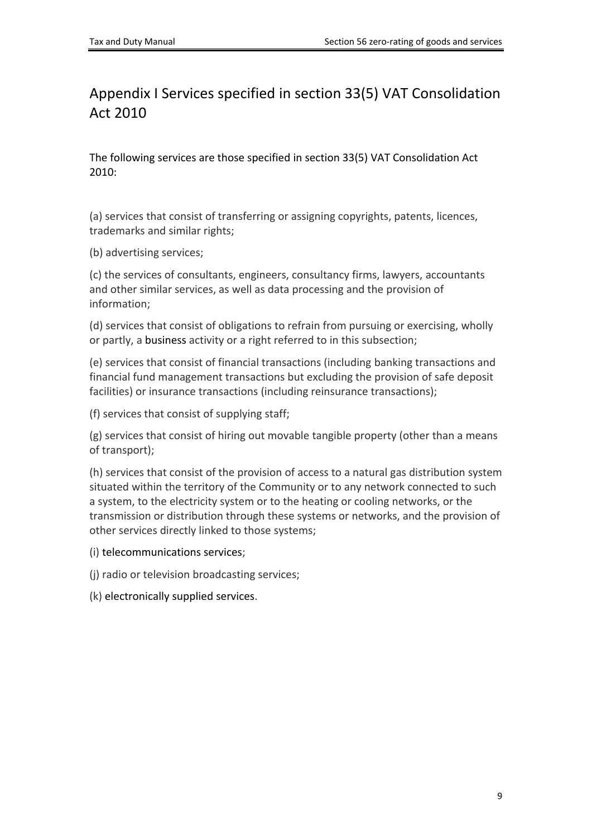# <span id="page-8-0"></span>Appendix I Services specified in section 33(5) VAT Consolidation Act 2010

The following services are those specified in section 33(5) VAT Consolidation Act 2010:

(a) services that consist of transferring or assigning copyrights, patents, licences, trademarks and similar rights;

(b) advertising services;

(c) the services of consultants, engineers, consultancy firms, lawyers, accountants and other similar services, as well as data processing and the provision of information;

(d) services that consist of obligations to refrain from pursuing or exercising, wholly or partly, a business activity or a right referred to in this subsection;

(e) services that consist of financial transactions (including banking transactions and financial fund management transactions but excluding the provision of safe deposit facilities) or insurance transactions (including reinsurance transactions);

(f) services that consist of supplying staff;

(g) services that consist of hiring out movable tangible property (other than a means of transport);

(h) services that consist of the provision of access to a natural gas distribution system situated within the territory of the Community or to any network connected to such a system, to the electricity system or to the heating or cooling networks, or the transmission or distribution through these systems or networks, and the provision of other services directly linked to those systems;

(i) telecommunications services;

(j) radio or television broadcasting services;

(k) electronically supplied services.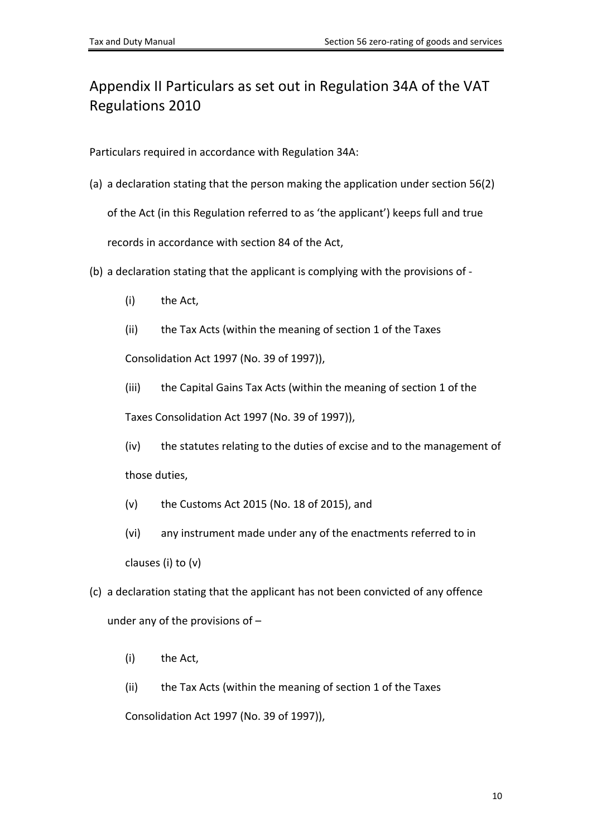# <span id="page-9-0"></span>Appendix II Particulars as set out in Regulation 34A of the VAT Regulations 2010

Particulars required in accordance with Regulation 34A:

- (a) a declaration stating that the person making the application under section 56(2) of the Act (in this Regulation referred to as 'the applicant') keeps full and true records in accordance with section 84 of the Act,
- (b) a declaration stating that the applicant is complying with the provisions of
	- (i) the Act,
	- (ii) the Tax Acts (within the meaning of section 1 of the Taxes

Consolidation Act 1997 (No. 39 of 1997)),

(iii) the Capital Gains Tax Acts (within the meaning of section 1 of the Taxes Consolidation Act 1997 (No. 39 of 1997)),

(iv) the statutes relating to the duties of excise and to the management of those duties,

- (v) the Customs Act 2015 (No. 18 of 2015), and
- (vi) any instrument made under any of the enactments referred to in clauses (i) to (v)
- (c) a declaration stating that the applicant has not been convicted of any offence under any of the provisions of –
	- (i) the Act,
	- (ii) the Tax Acts (within the meaning of section 1 of the Taxes

Consolidation Act 1997 (No. 39 of 1997)),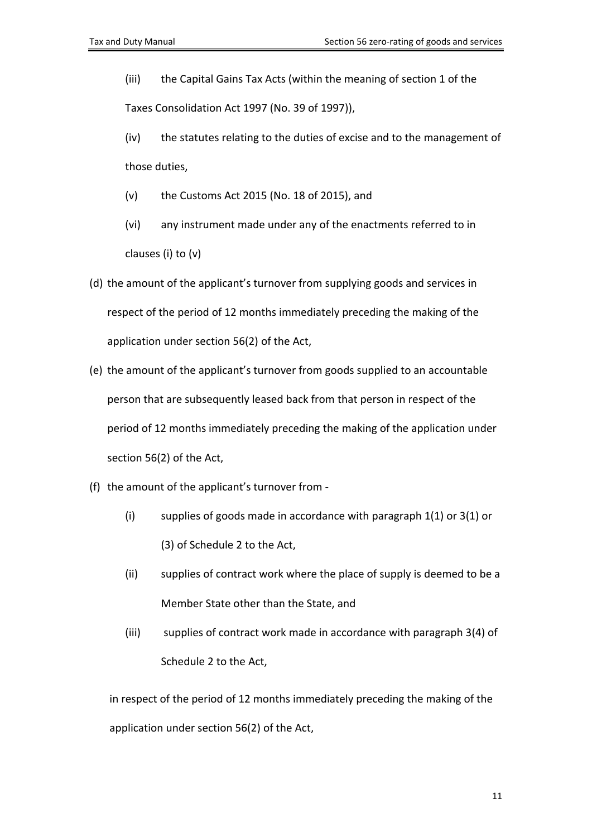(iii) the Capital Gains Tax Acts (within the meaning of section 1 of the Taxes Consolidation Act 1997 (No. 39 of 1997)),

- (iv) the statutes relating to the duties of excise and to the management of those duties,
- (v) the Customs Act 2015 (No. 18 of 2015), and
- (vi) any instrument made under any of the enactments referred to in clauses (i) to (v)
- (d) the amount of the applicant's turnover from supplying goods and services in respect of the period of 12 months immediately preceding the making of the application under section 56(2) of the Act,
- (e) the amount of the applicant's turnover from goods supplied to an accountable person that are subsequently leased back from that person in respect of the period of 12 months immediately preceding the making of the application under section 56(2) of the Act,
- (f) the amount of the applicant's turnover from
	- (i) supplies of goods made in accordance with paragraph 1(1) or 3(1) or (3) of Schedule 2 to the Act,
	- (ii) supplies of contract work where the place of supply is deemed to be a Member State other than the State, and
	- (iii) supplies of contract work made in accordance with paragraph 3(4) of Schedule 2 to the Act,

in respect of the period of 12 months immediately preceding the making of the application under section 56(2) of the Act,